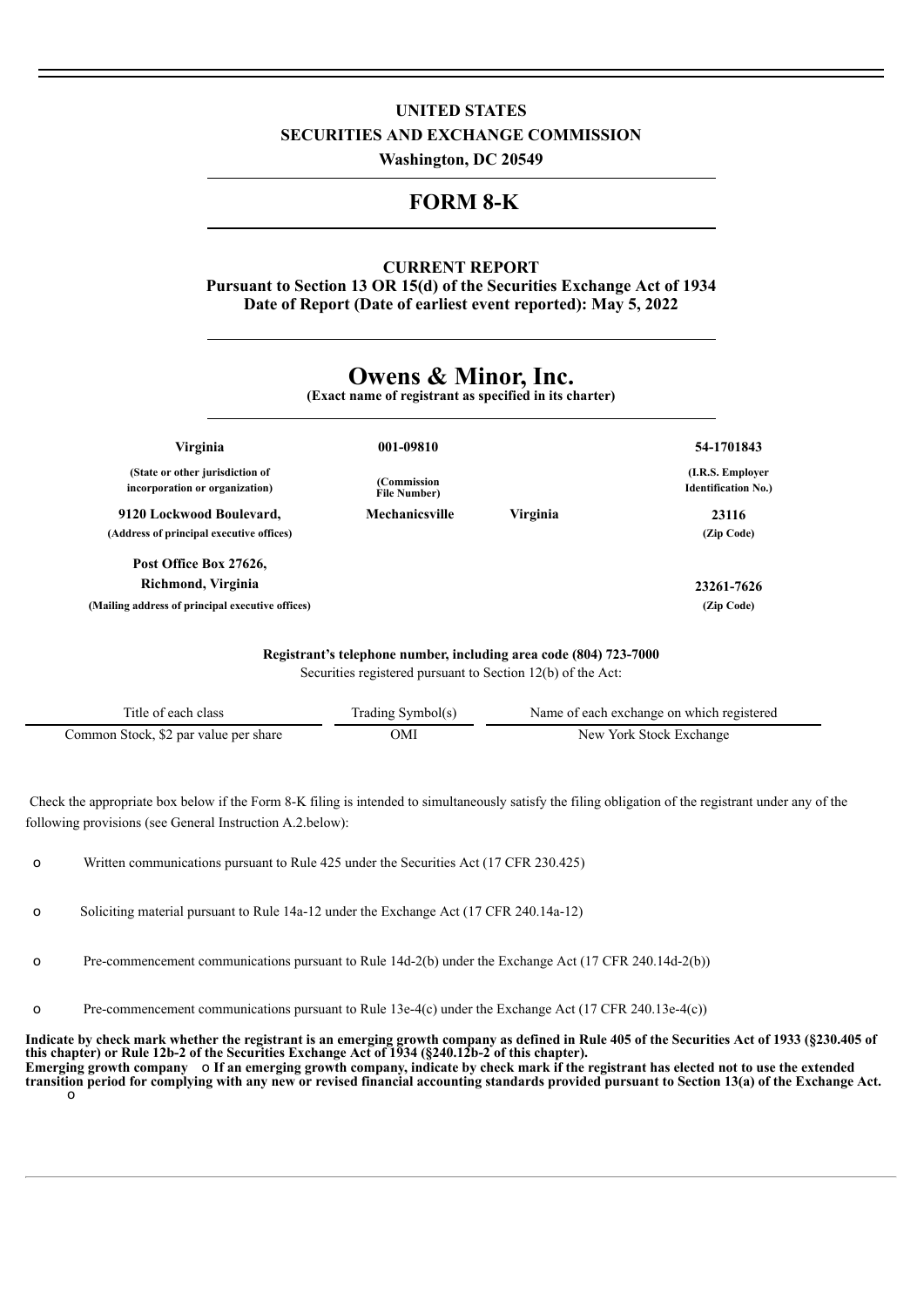## **UNITED STATES SECURITIES AND EXCHANGE COMMISSION**

**Washington, DC 20549**

# **FORM 8-K**

## **CURRENT REPORT**

**Pursuant to Section 13 OR 15(d) of the Securities Exchange Act of 1934 Date of Report (Date of earliest event reported): May 5, 2022**

# **Owens & Minor, Inc.**

**(Exact name of registrant as specified in its charter)**

| Virginia                                                          | 001-09810                           |          | 54-1701843                                      |
|-------------------------------------------------------------------|-------------------------------------|----------|-------------------------------------------------|
| (State or other jurisdiction of<br>incorporation or organization) | (Commission)<br><b>File Number)</b> |          | (I.R.S. Employer)<br><b>Identification No.)</b> |
| 9120 Lockwood Boulevard,                                          | Mechanicsville                      | Virginia | 23116                                           |
| (Address of principal executive offices)                          |                                     |          | (Zip Code)                                      |
| Post Office Box 27626,                                            |                                     |          |                                                 |
| Richmond, Virginia                                                |                                     |          | 23261-7626                                      |
| (Mailing address of principal executive offices)                  |                                     |          | (Zip Code)                                      |
|                                                                   |                                     |          |                                                 |

**Registrant's telephone number, including area code (804) 723-7000** Securities registered pursuant to Section 12(b) of the Act:

| Title of each class                   | Trading Symbol(s) | Name of each exchange on which registered |  |
|---------------------------------------|-------------------|-------------------------------------------|--|
| Common Stock, \$2 par value per share | ЭMI               | New York Stock Exchange                   |  |

Check the appropriate box below if the Form 8-K filing is intended to simultaneously satisfy the filing obligation of the registrant under any of the following provisions (see General Instruction A.2.below):

o Written communications pursuant to Rule 425 under the Securities Act (17 CFR 230.425)

o Soliciting material pursuant to Rule 14a-12 under the Exchange Act (17 CFR 240.14a-12)

o Pre-commencement communications pursuant to Rule 14d-2(b) under the Exchange Act (17 CFR 240.14d-2(b))

o Pre-commencement communications pursuant to Rule 13e-4(c) under the Exchange Act (17 CFR 240.13e-4(c))

Indicate by check mark whether the registrant is an emerging growth company as defined in Rule 405 of the Securities Act of 1933 (§230.405 of **this chapter) or Rule 12b-2 of the Securities Exchange Act of 1934 (§240.12b-2 of this chapter).** Emerging growth company o If an emerging growth company, indicate by check mark if the registrant has elected not to use the extended transition period for complying with any new or revised financial accounting standards provided pursuant to Section 13(a) of the Exchange Act. o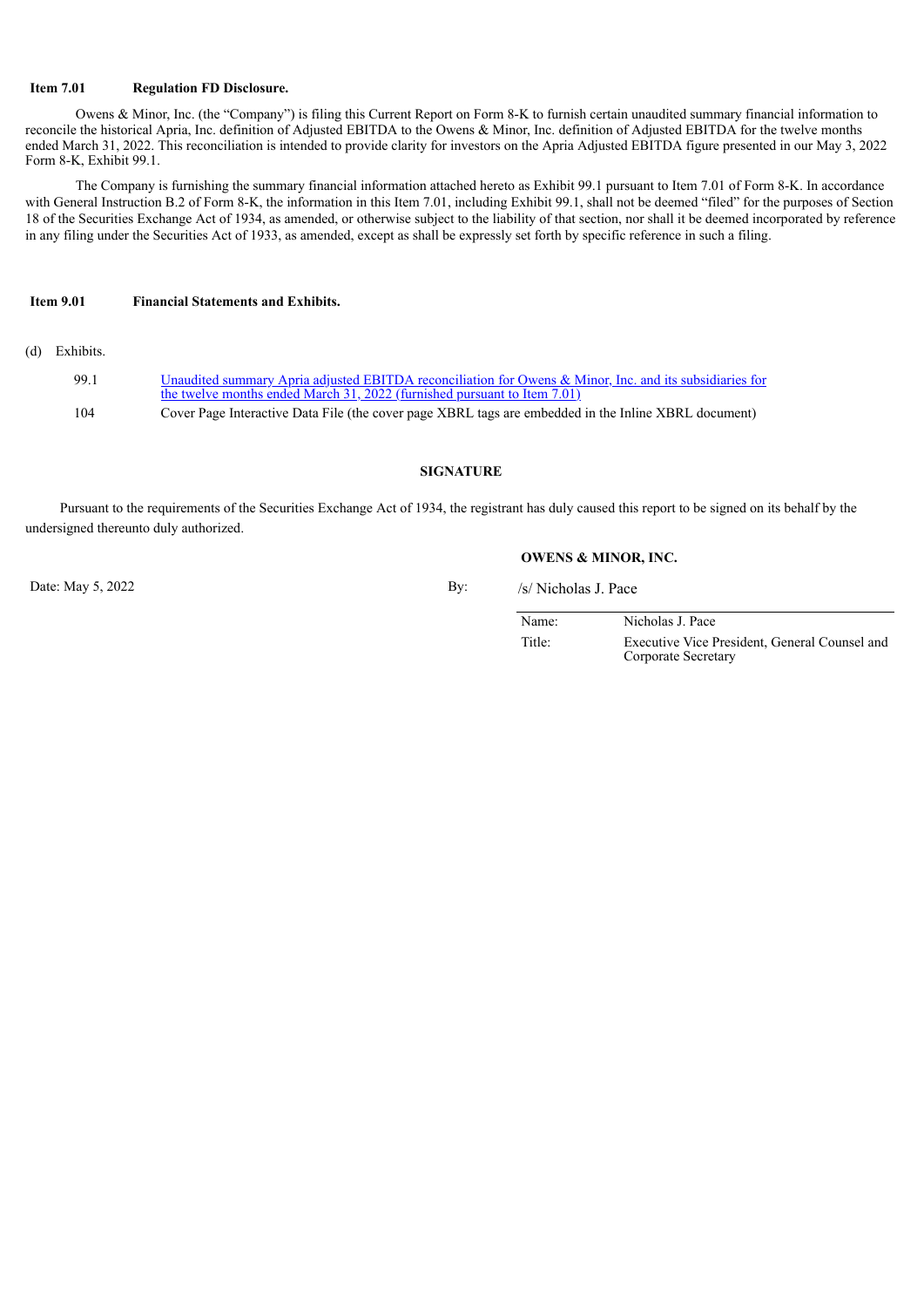#### **Item 7.01 Regulation FD Disclosure.**

Owens & Minor, Inc. (the "Company") is filing this Current Report on Form 8-K to furnish certain unaudited summary financial information to reconcile the historical Apria, Inc. definition of Adjusted EBITDA to the Owens & Minor, Inc. definition of Adjusted EBITDA for the twelve months ended March 31, 2022. This reconciliation is intended to provide clarity for investors on the Apria Adjusted EBITDA figure presented in our May 3, 2022 Form 8-K, Exhibit 99.1.

The Company is furnishing the summary financial information attached hereto as Exhibit 99.1 pursuant to Item 7.01 of Form 8-K. In accordance with General Instruction B.2 of Form 8-K, the information in this Item 7.01, including Exhibit 99.1, shall not be deemed "filed" for the purposes of Section 18 of the Securities Exchange Act of 1934, as amended, or otherwise subject to the liability of that section, nor shall it be deemed incorporated by reference in any filing under the Securities Act of 1933, as amended, except as shall be expressly set forth by specific reference in such a filing.

#### **Item 9.01 Financial Statements and Exhibits.**

(d) Exhibits.

| 99.1 | Unaudited summary Apria adjusted EBITDA reconciliation for Owens & Minor, Inc. and its subsidiaries for<br>the twelve months ended March 31, 2022 (furnished pursuant to Item 7.01) |
|------|-------------------------------------------------------------------------------------------------------------------------------------------------------------------------------------|
| 104  | Cover Page Interactive Data File (the cover page XBRL tags are embedded in the Inline XBRL document)                                                                                |

#### **SIGNATURE**

Pursuant to the requirements of the Securities Exchange Act of 1934, the registrant has duly caused this report to be signed on its behalf by the undersigned thereunto duly authorized.

**OWENS & MINOR, INC.**

Date: May 5, 2022 By: /s/ Nicholas J. Pace

Name: Nicholas J. Pace Title: Executive Vice President, General Counsel and Corporate Secretary